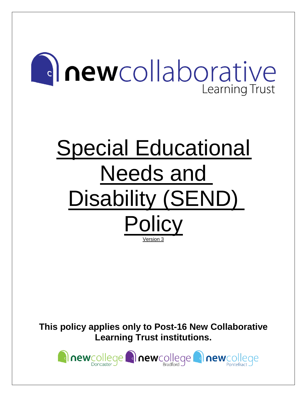# **Inewcollaborative** Learning Trust

# Special Educational Needs and Disability (SEND) **Policy** Version 3

**This policy applies only to Post-16 New Collaborative Learning Trust institutions.**

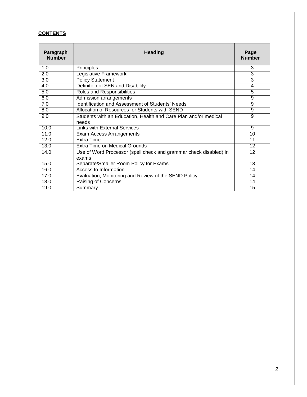# **CONTENTS**

| Paragraph<br><b>Number</b> | <b>Heading</b>                                                             |                |  |  |
|----------------------------|----------------------------------------------------------------------------|----------------|--|--|
| 1.0                        | Principles                                                                 | 3              |  |  |
| 2.0                        | Legislative Framework                                                      | 3              |  |  |
| 3.0                        | <b>Policy Statement</b>                                                    | 3              |  |  |
| 4.0                        | Definition of SEN and Disability                                           | 4              |  |  |
| 5.0                        | Roles and Responsibilities                                                 | 5              |  |  |
| 6.0                        | Admission arrangements                                                     | $\overline{9}$ |  |  |
| 7.0                        | <b>Identification and Assessment of Students' Needs</b>                    | $\overline{9}$ |  |  |
| 8.0                        | Allocation of Resources for Students with SEND                             | 9              |  |  |
| 9.0                        | Students with an Education, Health and Care Plan and/or medical<br>needs   | 9              |  |  |
| 10.0                       | <b>Links with External Services</b>                                        | 9              |  |  |
| 11.0                       | Exam Access Arrangements                                                   | 10             |  |  |
| 12.0                       | <b>Extra Time</b>                                                          | 11             |  |  |
| 13.0                       | Extra Time on Medical Grounds                                              | 12             |  |  |
| 14.0                       | Use of Word Processor (spell check and grammar check disabled) in<br>exams | 12             |  |  |
| 15.0                       | Separate/Smaller Room Policy for Exams                                     | 13             |  |  |
| 16.0                       | <b>Access to Information</b>                                               | 14             |  |  |
| 17.0                       | Evaluation, Monitoring and Review of the SEND Policy                       | 14             |  |  |
| 18.0                       | Raising of Concerns                                                        | 14             |  |  |
| 19.0                       | Summary                                                                    | 15             |  |  |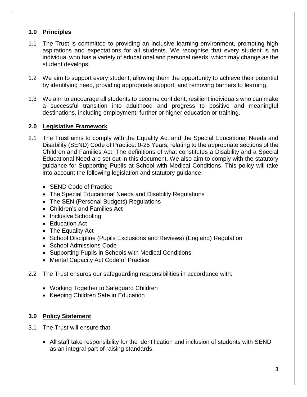# **1.0 Principles**

- 1.1 The Trust is committed to providing an inclusive learning environment, promoting high aspirations and expectations for all students. We recognise that every student is an individual who has a variety of educational and personal needs, which may change as the student develops.
- 1.2 We aim to support every student, allowing them the opportunity to achieve their potential by identifying need, providing appropriate support, and removing barriers to learning.
- 1.3 We aim to encourage all students to become confident, resilient individuals who can make a successful transition into adulthood and progress to positive and meaningful destinations, including employment, further or higher education or training.

#### **2.0 Legislative Framework**

- 2.1 The Trust aims to comply with the Equality Act and the Special Educational Needs and Disability (SEND) Code of Practice: 0-25 Years, relating to the appropriate sections of the Children and Families Act. The definitions of what constitutes a Disability and a Special Educational Need are set out in this document. We also aim to comply with the statutory guidance for Supporting Pupils at School with Medical Conditions. This policy will take into account the following legislation and statutory guidance:
	- SEND Code of Practice
	- The Special Educational Needs and Disability Regulations
	- The SEN (Personal Budgets) Regulations
	- Children's and Families Act
	- Inclusive Schooling
	- Education Act
	- The Equality Act
	- School Discipline (Pupils Exclusions and Reviews) (England) Regulation
	- School Admissions Code
	- Supporting Pupils in Schools with Medical Conditions
	- Mental Capacity Act Code of Practice
- 2.2 The Trust ensures our safeguarding responsibilities in accordance with:
	- Working Together to Safeguard Children
	- Keeping Children Safe in Education

# **3.0 Policy Statement**

- 3.1 The Trust will ensure that:
	- All staff take responsibility for the identification and inclusion of students with SEND as an integral part of raising standards.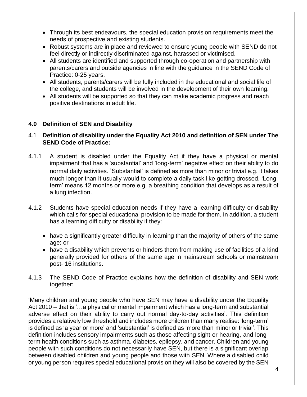- Through its best endeavours, the special education provision requirements meet the needs of prospective and existing students.
- Robust systems are in place and reviewed to ensure young people with SEND do not feel directly or indirectly discriminated against, harassed or victimised.
- All students are identified and supported through co-operation and partnership with parents/carers and outside agencies in line with the guidance in the SEND Code of Practice: 0-25 years.
- All students, parents/carers will be fully included in the educational and social life of the college, and students will be involved in the development of their own learning.
- All students will be supported so that they can make academic progress and reach positive destinations in adult life.

#### **4.0 Definition of SEN and Disability**

#### 4.1 **Definition of disability under the Equality Act 2010 and definition of SEN under The SEND Code of Practice:**

- 4.1.1 A student is disabled under the Equality Act if they have a physical or mental impairment that has a 'substantial' and 'long-term' negative effect on their ability to do normal daily activities. 'Substantial' is defined as more than minor or trivial e.g. it takes much longer than it usually would to complete a daily task like getting dressed. 'Longterm' means 12 months or more e.g. a breathing condition that develops as a result of a lung infection.
- 4.1.2 Students have special education needs if they have a learning difficulty or disability which calls for special educational provision to be made for them. In addition, a student has a learning difficulty or disability if they:
	- have a significantly greater difficulty in learning than the majority of others of the same age; or
	- have a disability which prevents or hinders them from making use of facilities of a kind generally provided for others of the same age in mainstream schools or mainstream post- 16 institutions.
- 4.1.3 The SEND Code of Practice explains how the definition of disability and SEN work together:

'Many children and young people who have SEN may have a disability under the Equality Act 2010 – that is '…a physical or mental impairment which has a long-term and substantial adverse effect on their ability to carry out normal day-to-day activities'. This definition provides a relatively low threshold and includes more children than many realise: 'long-term' is defined as 'a year or more' and 'substantial' is defined as 'more than minor or trivial'. This definition includes sensory impairments such as those affecting sight or hearing, and longterm health conditions such as asthma, diabetes, epilepsy, and cancer. Children and young people with such conditions do not necessarily have SEN, but there is a significant overlap between disabled children and young people and those with SEN. Where a disabled child or young person requires special educational provision they will also be covered by the SEN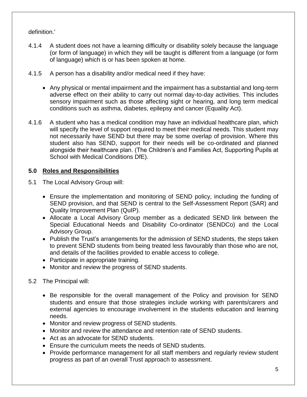# definition.'

- 4.1.4 A student does not have a learning difficulty or disability solely because the language (or form of language) in which they will be taught is different from a language (or form of language) which is or has been spoken at home.
- 4.1.5 A person has a disability and/or medical need if they have:
	- Any physical or mental impairment and the impairment has a substantial and long-term adverse effect on their ability to carry out normal day-to-day activities. This includes sensory impairment such as those affecting sight or hearing, and long term medical conditions such as asthma, diabetes, epilepsy and cancer (Equality Act).
- 4.1.6 A student who has a medical condition may have an individual healthcare plan, which will specify the level of support required to meet their medical needs. This student may not necessarily have SEND but there may be some overlap of provision. Where this student also has SEND, support for their needs will be co-ordinated and planned alongside their healthcare plan. (The Children's and Families Act, Supporting Pupils at School with Medical Conditions DfE).

# **5.0 Roles and Responsibilities**

- 5.1 The Local Advisory Group will:
	- Ensure the implementation and monitoring of SEND policy, including the funding of SEND provision, and that SEND is central to the Self-Assessment Report (SAR) and Quality Improvement Plan (QuIP).
	- Allocate a Local Advisory Group member as a dedicated SEND link between the Special Educational Needs and Disability Co-ordinator (SENDCo) and the Local Advisory Group.
	- Publish the Trust's arrangements for the admission of SEND students, the steps taken to prevent SEND students from being treated less favourably than those who are not, and details of the facilities provided to enable access to college.
	- Participate in appropriate training.
	- Monitor and review the progress of SEND students.
- 5.2 The Principal will:
	- Be responsible for the overall management of the Policy and provision for SEND students and ensure that those strategies include working with parents/carers and external agencies to encourage involvement in the students education and learning needs.
	- Monitor and review progress of SEND students.
	- Monitor and review the attendance and retention rate of SEND students.
	- Act as an advocate for SEND students.
	- Ensure the curriculum meets the needs of SEND students.
	- Provide performance management for all staff members and regularly review student progress as part of an overall Trust approach to assessment.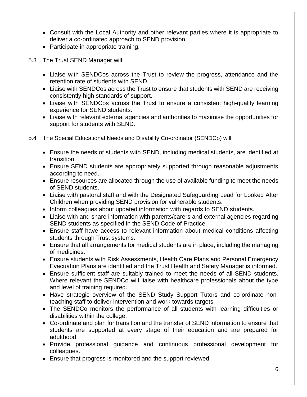- Consult with the Local Authority and other relevant parties where it is appropriate to deliver a co-ordinated approach to SEND provision.
- Participate in appropriate training.
- 5.3 The Trust SEND Manager will:
	- Liaise with SENDCos across the Trust to review the progress, attendance and the retention rate of students with SEND.
	- Liaise with SENDCos across the Trust to ensure that students with SEND are receiving consistently high standards of support.
	- Liaise with SENDCos across the Trust to ensure a consistent high-quality learning experience for SEND students.
	- Liaise with relevant external agencies and authorities to maximise the opportunities for support for students with SEND.
- 5.4 The Special Educational Needs and Disability Co-ordinator (SENDCo) will:
	- Ensure the needs of students with SEND, including medical students, are identified at transition.
	- Ensure SEND students are appropriately supported through reasonable adjustments according to need.
	- Ensure resources are allocated through the use of available funding to meet the needs of SEND students.
	- Liaise with pastoral staff and with the Designated Safeguarding Lead for Looked After Children when providing SEND provision for vulnerable students.
	- Inform colleagues about updated information with regards to SEND students.
	- Liaise with and share information with parents/carers and external agencies regarding SEND students as specified in the SEND Code of Practice.
	- Ensure staff have access to relevant information about medical conditions affecting students through Trust systems.
	- Ensure that all arrangements for medical students are in place, including the managing of medicines.
	- Ensure students with Risk Assessments, Health Care Plans and Personal Emergency Evacuation Plans are identified and the Trust Health and Safety Manager is informed.
	- Ensure sufficient staff are suitably trained to meet the needs of all SEND students. Where relevant the SENDCo will liaise with healthcare professionals about the type and level of training required.
	- Have strategic overview of the SEND Study Support Tutors and co-ordinate nonteaching staff to deliver intervention and work towards targets.
	- The SENDCo monitors the performance of all students with learning difficulties or disabilities within the college.
	- Co-ordinate and plan for transition and the transfer of SEND information to ensure that students are supported at every stage of their education and are prepared for adulthood.
	- Provide professional guidance and continuous professional development for colleagues.
	- Ensure that progress is monitored and the support reviewed.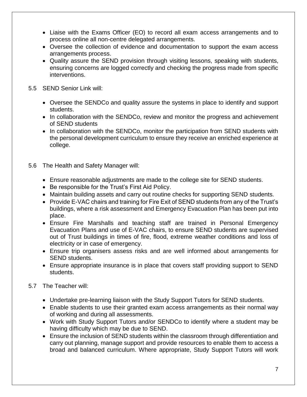- Liaise with the Exams Officer (EO) to record all exam access arrangements and to process online all non-centre delegated arrangements.
- Oversee the collection of evidence and documentation to support the exam access arrangements process.
- Quality assure the SEND provision through visiting lessons, speaking with students, ensuring concerns are logged correctly and checking the progress made from specific interventions.
- 5.5 SEND Senior Link will:
	- Oversee the SENDCo and quality assure the systems in place to identify and support students.
	- In collaboration with the SENDCo, review and monitor the progress and achievement of SEND students
	- In collaboration with the SENDCo, monitor the participation from SEND students with the personal development curriculum to ensure they receive an enriched experience at college.
- 5.6 The Health and Safety Manager will:
	- Ensure reasonable adjustments are made to the college site for SEND students.
	- Be responsible for the Trust's First Aid Policy.
	- Maintain building assets and carry out routine checks for supporting SEND students.
	- Provide E-VAC chairs and training for Fire Exit of SEND students from any of the Trust's buildings, where a risk assessment and Emergency Evacuation Plan has been put into place.
	- Ensure Fire Marshalls and teaching staff are trained in Personal Emergency Evacuation Plans and use of E-VAC chairs, to ensure SEND students are supervised out of Trust buildings in times of fire, flood, extreme weather conditions and loss of electricity or in case of emergency.
	- Ensure trip organisers assess risks and are well informed about arrangements for SEND students.
	- Ensure appropriate insurance is in place that covers staff providing support to SEND students.
- 5.7 The Teacher will:
	- Undertake pre-learning liaison with the Study Support Tutors for SEND students.
	- Enable students to use their granted exam access arrangements as their normal way of working and during all assessments.
	- Work with Study Support Tutors and/or SENDCo to identify where a student may be having difficulty which may be due to SEND.
	- Ensure the inclusion of SEND students within the classroom through differentiation and carry out planning, manage support and provide resources to enable them to access a broad and balanced curriculum. Where appropriate, Study Support Tutors will work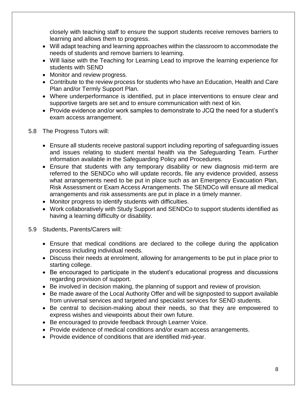closely with teaching staff to ensure the support students receive removes barriers to learning and allows them to progress.

- Will adapt teaching and learning approaches within the classroom to accommodate the needs of students and remove barriers to learning.
- Will liaise with the Teaching for Learning Lead to improve the learning experience for students with SEND
- Monitor and review progress.
- Contribute to the review process for students who have an Education, Health and Care Plan and/or Termly Support Plan.
- Where underperformance is identified, put in place interventions to ensure clear and supportive targets are set and to ensure communication with next of kin.
- Provide evidence and/or work samples to demonstrate to JCQ the need for a student's exam access arrangement.
- 5.8 The Progress Tutors will:
	- Ensure all students receive pastoral support including reporting of safeguarding issues and issues relating to student mental health via the Safeguarding Team. Further information available in the Safeguarding Policy and Procedures.
	- Ensure that students with any temporary disability or new diagnosis mid-term are referred to the SENDCo who will update records, file any evidence provided, assess what arrangements need to be put in place such as an Emergency Evacuation Plan, Risk Assessment or Exam Access Arrangements. The SENDCo will ensure all medical arrangements and risk assessments are put in place in a timely manner.
	- Monitor progress to identify students with difficulties.
	- Work collaboratively with Study Support and SENDCo to support students identified as having a learning difficulty or disability.
- 5.9 Students, Parents/Carers will:
	- Ensure that medical conditions are declared to the college during the application process including individual needs.
	- Discuss their needs at enrolment, allowing for arrangements to be put in place prior to starting college.
	- Be encouraged to participate in the student's educational progress and discussions regarding provision of support.
	- Be involved in decision making, the planning of support and review of provision.
	- Be made aware of the Local Authority Offer and will be signposted to support available from universal services and targeted and specialist services for SEND students.
	- Be central to decision-making about their needs, so that they are empowered to express wishes and viewpoints about their own future.
	- Be encouraged to provide feedback through Learner Voice.
	- Provide evidence of medical conditions and/or exam access arrangements.
	- Provide evidence of conditions that are identified mid-year.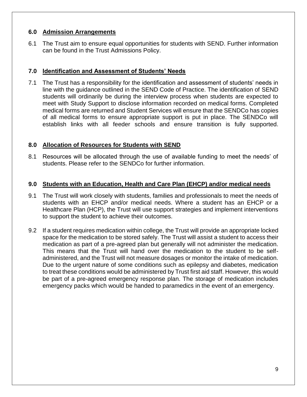#### **6.0 Admission Arrangements**

6.1 The Trust aim to ensure equal opportunities for students with SEND. Further information can be found in the Trust Admissions Policy.

# **7.0 Identification and Assessment of Students' Needs**

7.1 The Trust has a responsibility for the identification and assessment of students' needs in line with the guidance outlined in the SEND Code of Practice. The identification of SEND students will ordinarily be during the interview process when students are expected to meet with Study Support to disclose information recorded on medical forms. Completed medical forms are returned and Student Services will ensure that the SENDCo has copies of all medical forms to ensure appropriate support is put in place. The SENDCo will establish links with all feeder schools and ensure transition is fully supported.

#### **8.0 Allocation of Resources for Students with SEND**

8.1 Resources will be allocated through the use of available funding to meet the needs' of students. Please refer to the SENDCo for further information.

#### **9.0 Students with an Education, Health and Care Plan (EHCP) and/or medical needs**

- 9.1 The Trust will work closely with students, families and professionals to meet the needs of students with an EHCP and/or medical needs. Where a student has an EHCP or a Healthcare Plan (HCP), the Trust will use support strategies and implement interventions to support the student to achieve their outcomes.
- 9.2 If a student requires medication within college, the Trust will provide an appropriate locked space for the medication to be stored safely. The Trust will assist a student to access their medication as part of a pre-agreed plan but generally will not administer the medication. This means that the Trust will hand over the medication to the student to be selfadministered, and the Trust will not measure dosages or monitor the intake of medication. Due to the urgent nature of some conditions such as epilepsy and diabetes, medication to treat these conditions would be administered by Trust first aid staff. However, this would be part of a pre-agreed emergency response plan. The storage of medication includes emergency packs which would be handed to paramedics in the event of an emergency.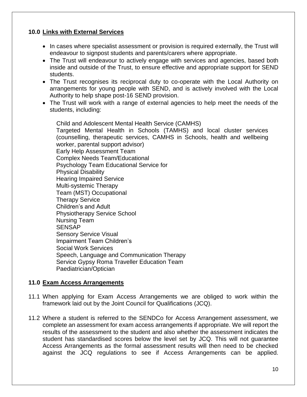### **10.0 Links with External Services**

- In cases where specialist assessment or provision is required externally, the Trust will endeavour to signpost students and parents/carers where appropriate.
- The Trust will endeavour to actively engage with services and agencies, based both inside and outside of the Trust, to ensure effective and appropriate support for SEND students.
- The Trust recognises its reciprocal duty to co-operate with the Local Authority on arrangements for young people with SEND, and is actively involved with the Local Authority to help shape post-16 SEND provision.
- The Trust will work with a range of external agencies to help meet the needs of the students, including:

Child and Adolescent Mental Health Service (CAMHS) Targeted Mental Health in Schools (TAMHS) and local cluster services (counselling, therapeutic services, CAMHS in Schools, health and wellbeing worker, parental support advisor) Early Help Assessment Team Complex Needs Team/Educational Psychology Team Educational Service for Physical Disability Hearing Impaired Service Multi-systemic Therapy Team (MST) Occupational Therapy Service Children's and Adult Physiotherapy Service School Nursing Team **SENSAP** Sensory Service Visual Impairment Team Children's Social Work Services Speech, Language and Communication Therapy Service Gypsy Roma Traveller Education Team Paediatrician/Optician

# **11.0 Exam Access Arrangements**

- 11.1 When applying for Exam Access Arrangements we are obliged to work within the framework laid out by the Joint Council for Qualifications (JCQ).
- 11.2 Where a student is referred to the SENDCo for Access Arrangement assessment, we complete an assessment for exam access arrangements if appropriate. We will report the results of the assessment to the student and also whether the assessment indicates the student has standardised scores below the level set by JCQ. This will not guarantee Access Arrangements as the formal assessment results will then need to be checked against the JCQ regulations to see if Access Arrangements can be applied.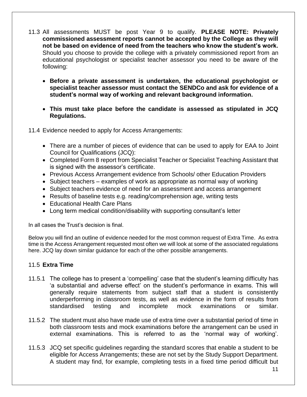- 11.3 All assessments MUST be post Year 9 to qualify. **PLEASE NOTE: Privately commissioned assessment reports cannot be accepted by the College as they will not be based on evidence of need from the teachers who know the student's work.** Should you choose to provide the college with a privately commissioned report from an educational psychologist or specialist teacher assessor you need to be aware of the following:
	- **Before a private assessment is undertaken, the educational psychologist or specialist teacher assessor must contact the SENDCo and ask for evidence of a student's normal way of working and relevant background information.**
	- **This must take place before the candidate is assessed as stipulated in JCQ Regulations.**

11.4 Evidence needed to apply for Access Arrangements:

- There are a number of pieces of evidence that can be used to apply for EAA to Joint Council for Qualifications (JCQ):
- Completed Form 8 report from Specialist Teacher or Specialist Teaching Assistant that is signed with the assessor's certificate.
- Previous Access Arrangement evidence from Schools/ other Education Providers
- Subject teachers examples of work as appropriate as normal way of working
- Subject teachers evidence of need for an assessment and access arrangement
- Results of baseline tests e.g. reading/comprehension age, writing tests
- Educational Health Care Plans
- Long term medical condition/disability with supporting consultant's letter

In all cases the Trust's decision is final.

Below you will find an outline of evidence needed for the most common request of Extra Time. As extra time is the Access Arrangement requested most often we will look at some of the associated regulations here. JCQ lay down similar guidance for each of the other possible arrangements.

# 11.5 **Extra Time**

- 11.5.1 The college has to present a 'compelling' case that the student's learning difficulty has 'a substantial and adverse effect' on the student's performance in exams. This will generally require statements from subject staff that a student is consistently underperforming in classroom tests, as well as evidence in the form of results from standardised testing and incomplete mock examinations or similar.
- 11.5.2 The student must also have made use of extra time over a substantial period of time in both classroom tests and mock examinations before the arrangement can be used in external examinations. This is referred to as the 'normal way of working'.
- 11.5.3 JCQ set specific guidelines regarding the standard scores that enable a student to be eligible for Access Arrangements; these are not set by the Study Support Department. A student may find, for example, completing tests in a fixed time period difficult but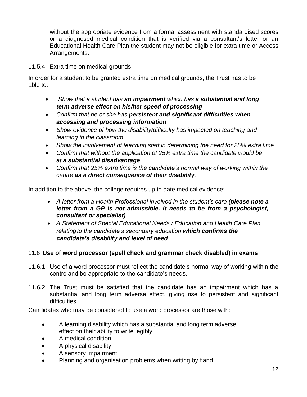without the appropriate evidence from a formal assessment with standardised scores or a diagnosed medical condition that is verified via a consultant's letter or an Educational Health Care Plan the student may not be eligible for extra time or Access Arrangements.

11.5.4 Extra time on medical grounds:

In order for a student to be granted extra time on medical grounds, the Trust has to be able to:

- *Show that a student has an impairment which has a substantial and long term adverse effect on his/her speed of processing*
- *Confirm that he or she has persistent and significant difficulties when accessing and processing information*
- *Show evidence of how the disability/difficulty has impacted on teaching and learning in the classroom*
- *Show the involvement of teaching staff in determining the need for 25% extra time*
- *Confirm that without the application of 25% extra time the candidate would be at a substantial disadvantage*
- *Confirm that 25% extra time is the candidate's normal way of working within the centre as a direct consequence of their disability.*

In addition to the above, the college requires up to date medical evidence:

- A letter from a Health Professional involved in the student's care (please note a *letter from a GP is not admissible. It needs to be from a psychologist, consultant or specialist)*
- *A Statement of Special Educational Needs / Education and Health Care Plan relatingto the candidate's secondary education which confirms the candidate's disability and level of need*

# 11.6 **Use of word processor (spell check and grammar check disabled) in exams**

- 11.6.1 Use of a word processor must reflect the candidate's normal way of working within the centre and be appropriate to the candidate's needs.
- 11.6.2 The Trust must be satisfied that the candidate has an impairment which has a substantial and long term adverse effect, giving rise to persistent and significant difficulties.

Candidates who may be considered to use a word processor are those with:

- A learning disability which has a substantial and long term adverse effect on their ability to write legibly
- A medical condition
- A physical disability
- A sensory impairment
- Planning and organisation problems when writing by hand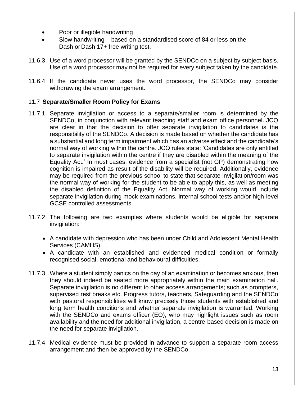- Poor or illegible handwriting
- Slow handwriting based on a standardised score of 84 or less on the Dash or Dash 17+ free writing test.
- 11.6.3 Use of a word processor will be granted by the SENDCo on a subject by subject basis. Use of a word processor may not be required for every subject taken by the candidate.
- 11.6.4 If the candidate never uses the word processor, the SENDCo may consider withdrawing the exam arrangement.

# 11.7 **Separate/Smaller Room Policy for Exams**

- 11.7.1 Separate invigilation or access to a separate/smaller room is determined by the SENDCo, in conjunction with relevant teaching staff and exam office personnel. JCQ are clear in that the decision to offer separate invigilation to candidates is the responsibility of the SENDCo. A decision is made based on whether the candidate has a substantial and long term impairment which has an adverse effect and the candidate's normal way of working within the centre. JCQ rules state: 'Candidates are only entitled to separate invigilation within the centre if they are disabled within the meaning of the Equality Act.' In most cases, evidence from a specialist (not GP) demonstrating how cognition is impaired as result of the disability will be required. Additionally, evidence may be required from the previous school to state that separate invigilation/room was the normal way of working for the student to be able to apply this, as well as meeting the disabled definition of the Equality Act. Normal way of working would include separate invigilation during mock examinations, internal school tests and/or high level GCSE controlled assessments.
- 11.7.2 The following are two examples where students would be eligible for separate invigilation:
	- A candidate with depression who has been under Child and Adolescent Mental Health Services (CAMHS).
	- A candidate with an established and evidenced medical condition or formally recognised social, emotional and behavioural difficulties.
- 11.7.3 Where a student simply panics on the day of an examination or becomes anxious, then they should indeed be seated more appropriately within the main examination hall. Separate invigilation is no different to other access arrangements; such as prompters, supervised rest breaks etc. Progress tutors, teachers, Safeguarding and the SENDCo with pastoral responsibilities will know precisely those students with established and long term health conditions and whether separate invigilation is warranted. Working with the SENDCo and exams officer (EO), who may highlight issues such as room availability and the need for additional invigilation, a centre-based decision is made on the need for separate invigilation.
- 11.7.4 Medical evidence must be provided in advance to support a separate room access arrangement and then be approved by the SENDCo.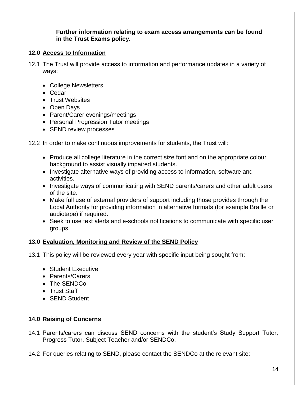#### **Further information relating to exam access arrangements can be found in the Trust Exams policy.**

# **12.0 Access to Information**

- 12.1 The Trust will provide access to information and performance updates in a variety of ways:
	- College Newsletters
	- Cedar
	- Trust Websites
	- Open Days
	- Parent/Carer evenings/meetings
	- Personal Progression Tutor meetings
	- SEND review processes
- 12.2 In order to make continuous improvements for students, the Trust will:
	- Produce all college literature in the correct size font and on the appropriate colour background to assist visually impaired students.
	- Investigate alternative ways of providing access to information, software and activities.
	- Investigate ways of communicating with SEND parents/carers and other adult users of the site.
	- Make full use of external providers of support including those provides through the Local Authority for providing information in alternative formats (for example Braille or audiotape) if required.
	- Seek to use text alerts and e-schools notifications to communicate with specific user groups.

# **13.0 Evaluation, Monitoring and Review of the SEND Policy**

13.1 This policy will be reviewed every year with specific input being sought from:

- Student Executive
- Parents/Carers
- The SENDCo
- Trust Staff
- SEND Student

# **14.0 Raising of Concerns**

- 14.1 Parents/carers can discuss SEND concerns with the student's Study Support Tutor, Progress Tutor, Subject Teacher and/or SENDCo.
- 14.2 For queries relating to SEND, please contact the SENDCo at the relevant site: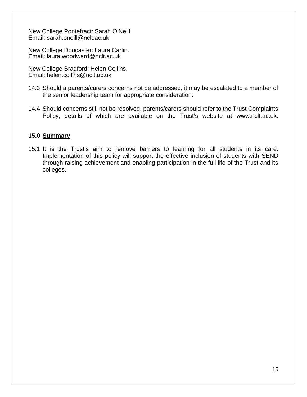New College Pontefract: Sarah O'Neill. Email: [sarah.oneill@nclt.ac.uk](mailto:sarah.oneill@nclt.ac.uk)

New College Doncaster: Laura Carlin. Email: [laura.woodward@nclt.ac.uk](mailto:laura.woodward@nclt.ac.uk)

New College Bradford: Helen Collins. Email: [helen.collins@nclt.ac.uk](mailto:helen.collins@nclt.ac.uk)

- 14.3 Should a parents/carers concerns not be addressed, it may be escalated to a member of the senior leadership team for appropriate consideration.
- 14.4 Should concerns still not be resolved, parents/carers should refer to the Trust Complaints Policy, details of which are available on the Trust's website at [www.nclt.ac.uk.](http://www.nclt.ac.uk/)

#### **15.0 Summary**

15.1 It is the Trust's aim to remove barriers to learning for all students in its care. Implementation of this policy will support the effective inclusion of students with SEND through raising achievement and enabling participation in the full life of the Trust and its colleges.